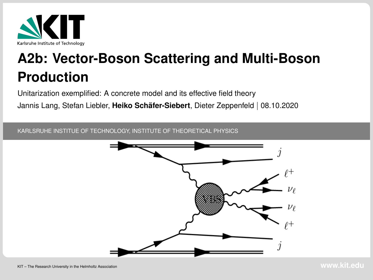<span id="page-0-0"></span>

# **A2b: Vector-Boson Scattering and Multi-Boson Production**

Unitarization exemplified: A concrete model and its effective field theory

Jannis Lang, Stefan Liebler, **Heiko Schafer-Siebert ¨** , Dieter Zeppenfeld | 08.10.2020

KARLSRUHE INSTITUE OF TECHNOLOGY, INSTITUTE OF THEORETICAL PHYSICS

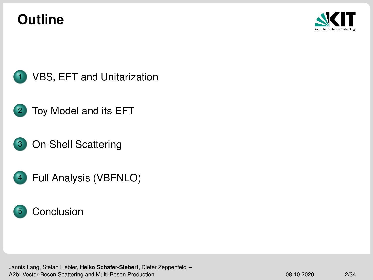## **Outline**





- [Toy Model and its EFT](#page-9-0)
- [On-Shell Scattering](#page-19-0)
- [Full Analysis \(VBFNLO\)](#page-22-0)



Jannis Lang, Stefan Liebler, **Heiko Schafer-Siebert ¨** , Dieter Zeppenfeld – [A2b: Vector-Boson Scattering and Multi-Boson Production](#page-0-0) 08.10.2020 08.10.2020 2/34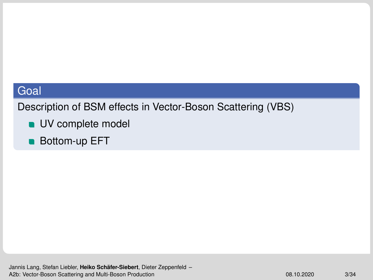<span id="page-2-0"></span>Description of BSM effects in Vector-Boson Scattering (VBS)

- **UV** complete model
- Bottom-up EFT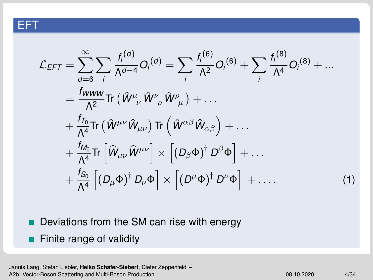#### EFT

$$
\mathcal{L}_{EFT} = \sum_{d=6}^{\infty} \sum_{i} \frac{f_{i}^{(d)}}{\Lambda^{d-4}} O_{i}^{(d)} = \sum_{i} \frac{f_{i}^{(6)}}{\Lambda^{2}} O_{i}^{(6)} + \sum_{i} \frac{f_{i}^{(8)}}{\Lambda^{4}} O_{i}^{(8)} + \dots
$$
\n
$$
= \frac{f_{WWW}}{\Lambda^{2}} \text{Tr} \left( \hat{W}^{\mu}{}_{\nu} \hat{W}^{\nu}{}_{\rho} \hat{W}^{\rho}{}_{\mu} \right) + \dots
$$
\n
$$
+ \frac{f_{T_{0}}}{\Lambda^{4}} \text{Tr} \left( \hat{W}^{\mu\nu} \hat{W}_{\mu\nu} \right) \text{Tr} \left( \hat{W}^{\alpha\beta} \hat{W}_{\alpha\beta} \right) + \dots
$$
\n
$$
+ \frac{f_{M_{0}}}{\Lambda^{4}} \text{Tr} \left[ \hat{W}_{\mu\nu} \hat{W}^{\mu\nu} \right] \times \left[ (D_{\beta} \Phi)^{\dagger} D^{\beta} \Phi \right] + \dots
$$
\n
$$
+ \frac{f_{S_{0}}}{\Lambda^{4}} \left[ (D_{\mu} \Phi)^{\dagger} D_{\nu} \Phi \right] \times \left[ (D^{\mu} \Phi)^{\dagger} D^{\nu} \Phi \right] + \dots \tag{1}
$$

- Deviations from the SM can rise with energy
- **Finite range of validity**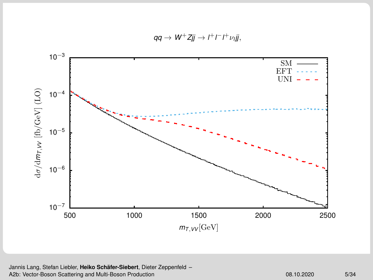



Jannis Lang, Stefan Liebler, Heiko Schäfer-Siebert, Dieter Zeppenfeld -[A2b: Vector-Boson Scattering and Multi-Boson Production](#page-0-0) 08.10.2020 08.10.2020 5/34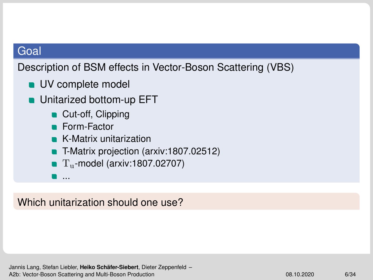Description of BSM effects in Vector-Boson Scattering (VBS)

- **UV** complete model
- **under Unitarized bottom-up EFT** 
	- Cut-off, Clipping
	- Form-Factor
	- **K-Matrix unitarization**
	- T-Matrix projection [\(arxiv:1807.02512\)](https://arxiv.org/pdf/1807.02512.pdf)
	- $\blacksquare$  T<sub>u</sub>-model [\(arxiv:1807.02707\)](https://arxiv.org/pdf/1807.02707.pdf)
	- ...

Which unitarization should one use?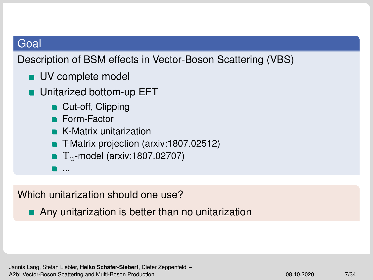Description of BSM effects in Vector-Boson Scattering (VBS)

- **UV** complete model
- **under Unitarized bottom-up EFT** 
	- Cut-off, Clipping
	- **Form-Factor**
	- **K-Matrix unitarization**
	- T-Matrix projection [\(arxiv:1807.02512\)](https://arxiv.org/pdf/1807.02512.pdf)
	- $\blacksquare$  T<sub>u</sub>-model [\(arxiv:1807.02707\)](https://arxiv.org/pdf/1807.02707.pdf)
	- ...

Which unitarization should one use?

**Any unitarization is better than no unitarization**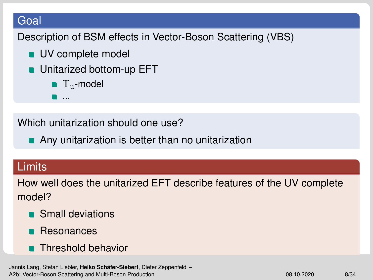Description of BSM effects in Vector-Boson Scattering (VBS)

- **UV** complete model
- Unitarized bottom-up EFT
	- $\blacksquare$  T<sub>u</sub>-model

Which unitarization should one use?

**Any unitarization is better than no unitarization** 

#### Limits

How well does the unitarized EFT describe features of the UV complete model?

- **Small deviations**
- Resonances
- **Threshold behavior**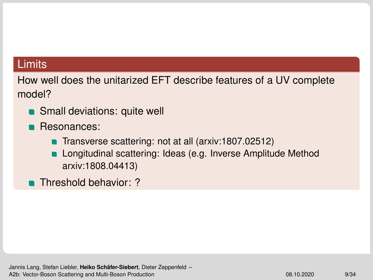## **Limits**

How well does the unitarized EFT describe features of a UV complete model?

- **Small deviations: quite well**
- **Resonances:** 
	- Transverse scattering: not at all [\(arxiv:1807.02512\)](https://arxiv.org/pdf/1807.02512.pdf)
	- **Longitudinal scattering: Ideas (e.g. Inverse Amplitude Method** [arxiv:1808.04413\)](https://arxiv.org/pdf/1808.04413.pdf)
- **Threshold behavior: ?**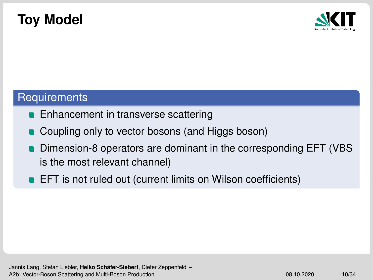## <span id="page-9-0"></span>**Toy Model**



#### **Requirements**

- **Enhancement in transverse scattering**
- Coupling only to vector bosons (and Higgs boson)
- Dimension-8 operators are dominant in the corresponding EFT (VBS is the most relevant channel)
- **EFT** is not ruled out (current limits on Wilson coefficients)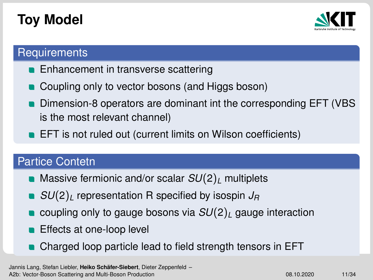# **Toy Model**



## **Requirements**

- **Enhancement in transverse scattering**
- Coupling only to vector bosons (and Higgs boson)
- Dimension-8 operators are dominant int the corresponding EFT (VBS is the most relevant channel)
- **EFT** is not ruled out (current limits on Wilson coefficients)

## Partice Contetn

- Massive fermionic and/or scalar  $SU(2)_L$  multiplets
- *SU*(2)<sub>*L*</sub> representation R specified by isospin *J<sub>R</sub>*
- coupling only to gauge bosons via  $SU(2)_L$  gauge interaction
- Effects at one-loop level
- Charged loop particle lead to field strength tensors in EFT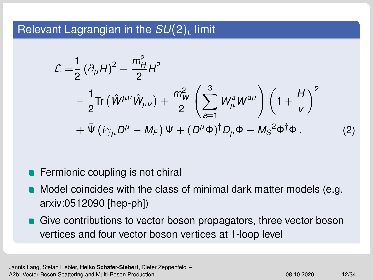## Relevant Lagrangian in the *SU*(2)*<sup>L</sup>* limit

$$
\mathcal{L} = \frac{1}{2} (\partial_{\mu} H)^2 - \frac{m_H^2}{2} H^2
$$
  
-  $\frac{1}{2} \text{Tr} (\hat{W}^{\mu\nu} \hat{W}_{\mu\nu}) + \frac{m_W^2}{2} \left( \sum_{a=1}^3 W_{\mu}^a W^{a\mu} \right) \left( 1 + \frac{H}{v} \right)^2$   
+  $\bar{\Psi} (i \gamma_{\mu} D^{\mu} - M_F) \Psi + (D^{\mu} \Phi)^{\dagger} D_{\mu} \Phi - M_S^2 \Phi^{\dagger} \Phi.$  (2)

- **Fermionic coupling is not chiral**
- Model coincides with the class of minimal dark matter models (e.g. [arxiv:0512090 \[hep-ph\]\)](https://arxiv.org/pdf/hep-ph/0512090.pdf)
- Give contributions to vector boson propagators, three vector boson vertices and four vector boson vertices at 1-loop level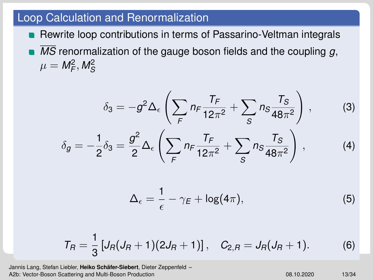#### Loop Calculation and Renormalization

- **Rewrite loop contributions in terms of Passarino-Veltman integrals**
- *MS* renormalization of the gauge boson fields and the coupling *g*,  $\mu = M_F^2, M_S^2$

$$
\delta_3 = -g^2 \Delta_{\epsilon} \left( \sum_{F} n_F \frac{T_F}{12\pi^2} + \sum_{S} n_S \frac{T_S}{48\pi^2} \right), \qquad (3)
$$

$$
\delta_g = -\frac{1}{2} \delta_3 = \frac{g^2}{2} \Delta_{\epsilon} \left( \sum_{F} n_F \frac{T_F}{12\pi^2} + \sum_{S} n_S \frac{T_S}{48\pi^2} \right), \qquad (4)
$$

$$
\Delta_{\epsilon} = \frac{1}{\epsilon} - \gamma_E + \log(4\pi), \tag{5}
$$

$$
T_R = \frac{1}{3} \left[ J_R (J_R + 1) (2J_R + 1) \right], \quad C_{2,R} = J_R (J_R + 1). \tag{6}
$$

Jannis Lang, Stefan Liebler, **Heiko Schafer-Siebert ¨** , Dieter Zeppenfeld – [A2b: Vector-Boson Scattering and Multi-Boson Production](#page-0-0) 08.10.2020 13/34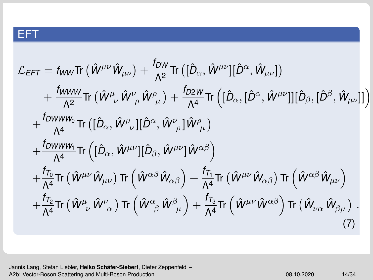## EFT

$$
\mathcal{L}_{EFT} = f_{WW}\text{Tr}\left(\hat{W}^{\mu\nu}\hat{W}_{\mu\nu}\right) + \frac{f_{DW}}{\Lambda^2}\text{Tr}\left([\hat{D}_{\alpha},\hat{W}^{\mu\nu}][\hat{D}^{\alpha},\hat{W}_{\mu\nu}]\right) \n+ \frac{f_{WW}}{\Lambda^2}\text{Tr}\left(\hat{W}^{\mu}_{\ \nu}\hat{W}^{\nu}_{\ \rho}\hat{W}^{\rho}_{\ \mu}\right) + \frac{f_{D2W}}{\Lambda^4}\text{Tr}\left([\hat{D}_{\alpha},[\hat{D}^{\alpha},\hat{W}^{\mu\nu}]][\hat{D}_{\beta},[\hat{D}^{\beta},\hat{W}_{\mu\nu}]]\right) \n+ \frac{f_{DWWW_0}}{\Lambda^4}\text{Tr}\left([\hat{D}_{\alpha},\hat{W}^{\mu}_{\ \nu}][\hat{D}^{\alpha},\hat{W}^{\nu}_{\ \rho}]\hat{W}^{\rho}_{\ \mu}\right) \n+ \frac{f_{DWWW_1}}{\Lambda^4}\text{Tr}\left([\hat{D}_{\alpha},\hat{W}^{\mu\nu}][\hat{D}_{\beta},\hat{W}^{\mu\nu}]\hat{W}^{\alpha\beta}\right) \n+ \frac{f_{T_0}}{\Lambda^4}\text{Tr}\left(\hat{W}^{\mu\nu}\hat{W}_{\mu\nu}\right)\text{Tr}\left(\hat{W}^{\alpha\beta}\hat{W}_{\alpha\beta}\right) + \frac{f_{T_1}}{\Lambda^4}\text{Tr}\left(\hat{W}^{\mu\nu}\hat{W}_{\alpha\beta}\right)\text{Tr}\left(\hat{W}^{\alpha\beta}\hat{W}_{\mu\nu}\right) \n+ \frac{f_{T_2}}{\Lambda^4}\text{Tr}\left(\hat{W}^{\mu}_{\ \nu}\hat{W}^{\nu}_{\ \alpha}\right)\text{Tr}\left(\hat{W}^{\alpha}_{\ \beta}\hat{W}^{\beta}_{\ \mu}\right) + \frac{f_{T_3}}{\Lambda^4}\text{Tr}\left(\hat{W}^{\mu\nu}\hat{W}^{\alpha\beta}\right)\text{Tr}\left(\hat{W}_{\nu\alpha}\hat{W}_{\beta\mu}\right).
$$
\n(7)

Jannis Lang, Stefan Liebler, Heiko Schäfer-Siebert, Dieter Zeppenfeld -[A2b: Vector-Boson Scattering and Multi-Boson Production](#page-0-0) 08.10.2020 14/34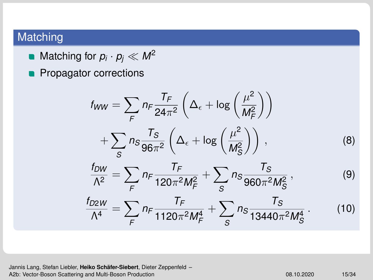## Matching

- Matching for  $p_{i}\cdot p_{j}\ll M^{2}$
- **Propagator corrections**

$$
f_{WW} = \sum_{F} n_F \frac{T_F}{24\pi^2} \left( \Delta_{\epsilon} + \log \left( \frac{\mu^2}{M_F^2} \right) \right)
$$
  
+ 
$$
\sum_{S} n_S \frac{T_S}{96\pi^2} \left( \Delta_{\epsilon} + \log \left( \frac{\mu^2}{M_S^2} \right) \right),
$$
(8)  

$$
\frac{f_{DW}}{\Lambda^2} = \sum_{F} n_F \frac{T_F}{120\pi^2 M_F^2} + \sum_{S} n_S \frac{T_S}{960\pi^2 M_S^2},
$$
(9)  

$$
\frac{f_{D2W}}{\Lambda^4} = \sum_{F} n_F \frac{T_F}{1120\pi^2 M_F^4} + \sum_{S} n_S \frac{T_S}{13440\pi^2 M_S^4}.
$$
(10)

Jannis Lang, Stefan Liebler, Heiko Schäfer-Siebert, Dieter Zeppenfeld -[A2b: Vector-Boson Scattering and Multi-Boson Production](#page-0-0) 08.10.2020 15/34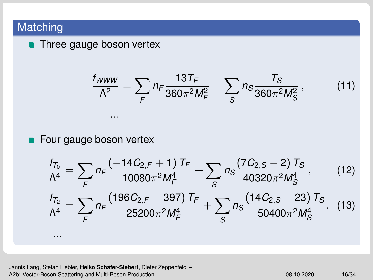## Matching

**n** Three gauge boson vertex

$$
\frac{f_{WWW}}{\Lambda^2} = \sum_{F} n_F \frac{13T_F}{360\pi^2 M_F^2} + \sum_{S} n_S \frac{T_S}{360\pi^2 M_S^2},
$$
(11)

#### **Four gauge boson vertex**

...

$$
\frac{f_{T_0}}{\Lambda^4} = \sum_{F} n_F \frac{(-14C_{2,F} + 1)T_F}{10080\pi^2 M_F^4} + \sum_{S} n_S \frac{(7C_{2,S} - 2)T_S}{40320\pi^2 M_S^4},
$$
(12)  

$$
\frac{f_{T_2}}{\Lambda^4} = \sum_{F} n_F \frac{(196C_{2,F} - 397)T_F}{25200\pi^2 M_F^4} + \sum_{S} n_S \frac{(14C_{2,S} - 23)T_S}{50400\pi^2 M_S^4}. \quad (13)
$$
  
...

Jannis Lang, Stefan Liebler, Heiko Schäfer-Siebert, Dieter Zeppenfeld -[A2b: Vector-Boson Scattering and Multi-Boson Production](#page-0-0) 08.10.2020 08.10.2020 16/34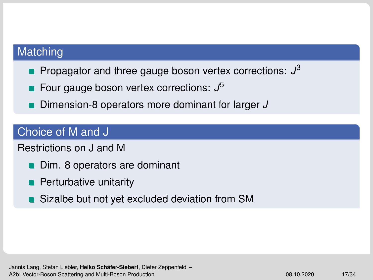#### **Matching**

- Propagator and three gauge boson vertex corrections: *J* 3
- Four gauge boson vertex corrections: *J* 5
- Dimension-8 operators more dominant for larger *J*

## Choice of M and J

Restrictions on J and M

- Dim. 8 operators are dominant
- **Perturbative unitarity**
- Sizalbe but not yet excluded deviation from SM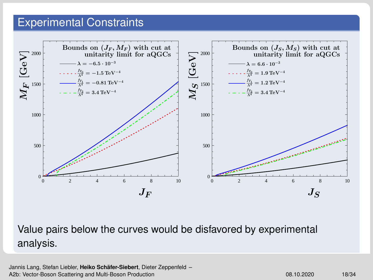#### Experimental Constraints



Value pairs below the curves would be disfavored by experimental analysis.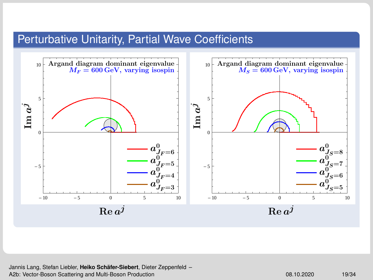#### Perturbative Unitarity, Partial Wave Coefficients



Jannis Lang, Stefan Liebler, **Heiko Schafer-Siebert ¨** , Dieter Zeppenfeld – [A2b: Vector-Boson Scattering and Multi-Boson Production](#page-0-0) 08.10.2020 08.10.2020 19/34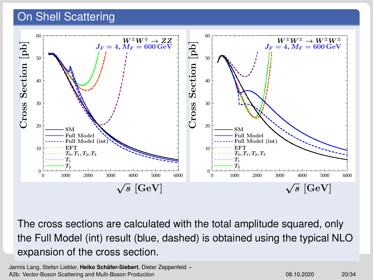## <span id="page-19-0"></span>On Shell Scattering



The cross sections are calculated with the total amplitude squared, only the Full Model (int) result (blue, dashed) is obtained using the typical NLO expansion of the cross section.

Jannis Lang, Stefan Liebler, **Heiko Schafer-Siebert ¨** , Dieter Zeppenfeld – [A2b: Vector-Boson Scattering and Multi-Boson Production](#page-0-0) 08.10.2020 08.10.2020 20/34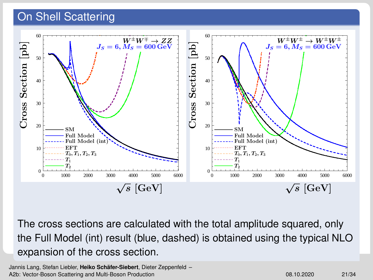## On Shell Scattering



The cross sections are calculated with the total amplitude squared, only the Full Model (int) result (blue, dashed) is obtained using the typical NLO expansion of the cross section.

Jannis Lang, Stefan Liebler, **Heiko Schafer-Siebert ¨** , Dieter Zeppenfeld – [A2b: Vector-Boson Scattering and Multi-Boson Production](#page-0-0) **08.10.2020** 08.10.2020 21/34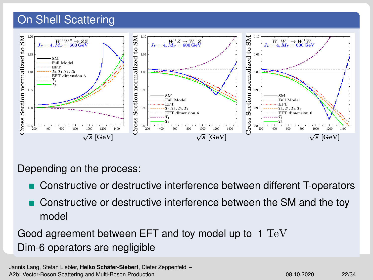#### On Shell Scattering



Depending on the process:

- Constructive or destructive interference between different T-operators
- Constructive or destructive interference between the SM and the toy model

Good agreement between EFT and toy model up to  $1 \text{ TeV}$ Dim-6 operators are negligible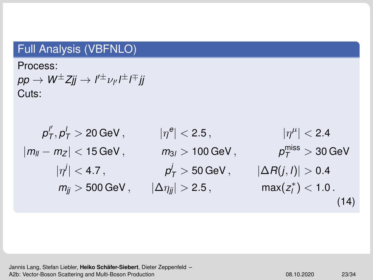## <span id="page-22-0"></span>Full Analysis (VBFNLO)

Process:

 $p p \to W^\pm Z$ jj  $\to$  l $' {}^\pm \nu_{l'}$ l $^\pm$ l $\bar {}^\mp$ jj Cuts:

| $p''_T, p'_T > 20 \text{ GeV},$    | $ \eta^e  < 2.5,$           | $ \eta^\mu  < 2.4$                   |
|------------------------------------|-----------------------------|--------------------------------------|
| $ m_{ll} - m_Z  < 15 \text{ GeV},$ | $m_{3l} > 100 \text{ GeV},$ | $p_T^{\text{miss}} > 30 \text{ GeV}$ |
| $ \eta^j  < 4.7,$                  | $p'_T > 50 \text{ GeV},$    | $ \Delta R(j, l)  > 0.4$             |
| $m_{jj} > 500 \text{ GeV},$        | $ \Delta \eta_{jj}  > 2.5,$ | $\max(z_l^*) < 1.0.$                 |

Jannis Lang, Stefan Liebler, Heiko Schäfer-Siebert, Dieter Zeppenfeld -[A2b: Vector-Boson Scattering and Multi-Boson Production](#page-0-0) 08.10.2020 23/34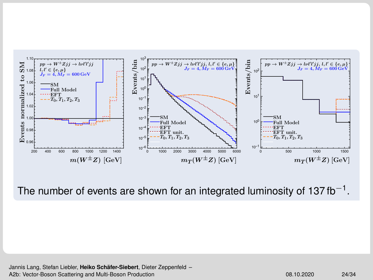

The number of events are shown for an integrated luminosity of 137 fb $^{-1}$ .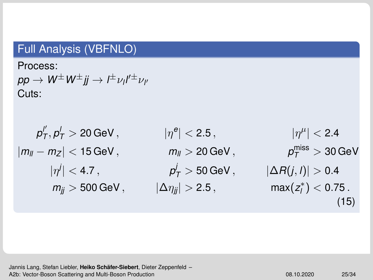## Full Analysis (VBFNLO)

Process:

 $p p \to W^\pm W^\pm j j \to l^\pm \nu_l l'^\pm \nu_{l'}$ Cuts:

| $p''_T, p'_T > 20 \text{ GeV},$    | $ \eta^e  < 2.5,$           | $ \eta^\mu  < 2.4$                   |
|------------------------------------|-----------------------------|--------------------------------------|
| $ m_{ll} - m_Z  < 15 \text{ GeV},$ | $m_{ll} > 20 \text{ GeV},$  | $p_T^{\text{miss}} > 30 \text{ GeV}$ |
| $ \eta^j  < 4.7,$                  | $p'_T > 50 \text{ GeV},$    | $ \Delta R(j, l)  > 0.4$             |
| $m_{jj} > 500 \text{ GeV},$        | $ \Delta \eta_{jj}  > 2.5,$ | $\max(z_l^*) < 0.75.$                |

Jannis Lang, Stefan Liebler, Heiko Schäfer-Siebert, Dieter Zeppenfeld -[A2b: Vector-Boson Scattering and Multi-Boson Production](#page-0-0) 08.10.2020 08.10.2020 25/34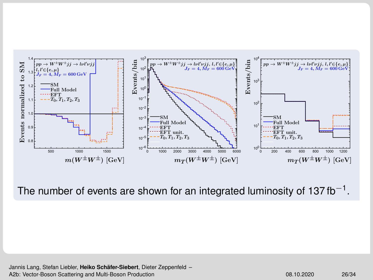

The number of events are shown for an integrated luminosity of 137 fb $^{-1}$ .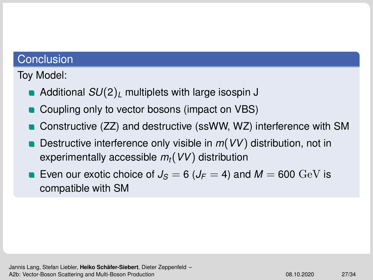#### **Conclusion**

Toy Model:

- Additional *SU*(2)*<sup>L</sup>* multiplets with large isospin J
- Coupling only to vector bosons (impact on VBS)
- Constructive (ZZ) and destructive (ssWW, WZ) interference with SM
- Destructive interference only visible in *m*(*VV*) distribution, not in experimentally accessible *mt*(*VV*) distribution
- Even our exotic choice of  $J_s = 6$  ( $J_F = 4$ ) and  $M = 600$  GeV is compatible with SM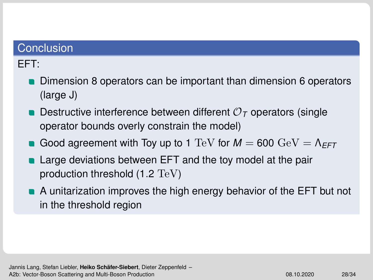#### <span id="page-27-0"></span>**Conclusion**

## EFT:

- **Dimension 8 operators can be important than dimension 6 operators** (large J)
- **Destructive interference between different**  $\mathcal{O}_\mathcal{T}$  **operators (single** operator bounds overly constrain the model)
- Good agreement with Toy up to 1 TeV for  $M = 600 \text{ GeV} = \Lambda_{\text{FFT}}$
- Large deviations between EFT and the toy model at the pair production threshold (1.2 TeV)
- A unitarization improves the high energy behavior of the EFT but not in the threshold region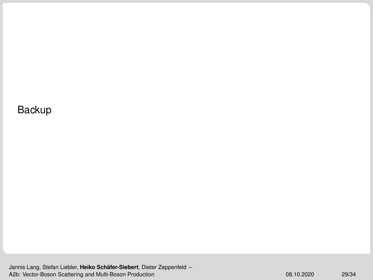Backup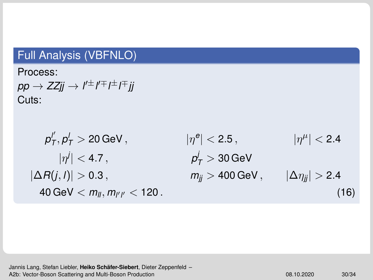## Full Analysis (VBFNLO)

Process:

 $p p \to Z Z j j \to l^{\prime \pm} l^{\mp} l^{\pm} l^{\mp} j j$ Cuts:

| $p''_T, p'_T > 20 \text{ GeV},$            | $ \eta^e  < 2.5,$           | $ \eta^\mu  < 2.4$         |
|--------------------------------------------|-----------------------------|----------------------------|
| $ \eta^j  < 4.7,$                          | $p'_T > 30 \text{ GeV}$     |                            |
| $ \Delta R(j, l)  > 0.3,$                  | $m_{jj} > 400 \text{ GeV},$ | $ \Delta \eta_{jj}  > 2.4$ |
| $40 \text{ GeV} < m_{ll}, m_{l'l'} < 120.$ | (16)                        |                            |

Jannis Lang, Stefan Liebler, Heiko Schäfer-Siebert, Dieter Zeppenfeld -[A2b: Vector-Boson Scattering and Multi-Boson Production](#page-0-0) 08.10.2020 08.10.2020 30/34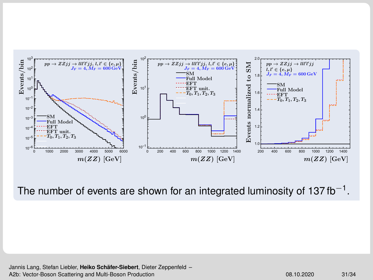

The number of events are shown for an integrated luminosity of 137 fb $^{-1}$ .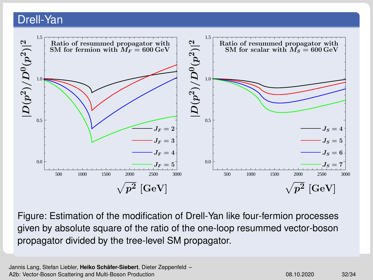#### Drell-Yan



Figure: Estimation of the modification of Drell-Yan like four-fermion processes given by absolute square of the ratio of the one-loop resummed vector-boson propagator divided by the tree-level SM propagator.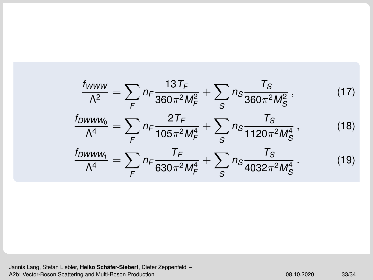$$
\frac{f_{WWW}}{\Lambda^2} = \sum_{F} n_F \frac{13T_F}{360\pi^2 M_F^2} + \sum_{S} n_S \frac{T_S}{360\pi^2 M_S^2},
$$
(17)  

$$
\frac{f_{DWWW_0}}{\Lambda^4} = \sum_{F} n_F \frac{2T_F}{105\pi^2 M_F^4} + \sum_{S} n_S \frac{T_S}{1120\pi^2 M_S^4},
$$
(18)  

$$
\frac{f_{DWWW_1}}{\Lambda^4} = \sum_{F} n_F \frac{T_F}{630\pi^2 M_F^4} + \sum_{S} n_S \frac{T_S}{4032\pi^2 M_S^4}.
$$
(19)

Jannis Lang, Stefan Liebler, **Heiko Schäfer-Siebert**, Dieter Zeppenfeld –<br>[A2b: Vector-Boson Scattering and Multi-Boson Production](#page-0-0) **20.10.2020 33/344** 33/34